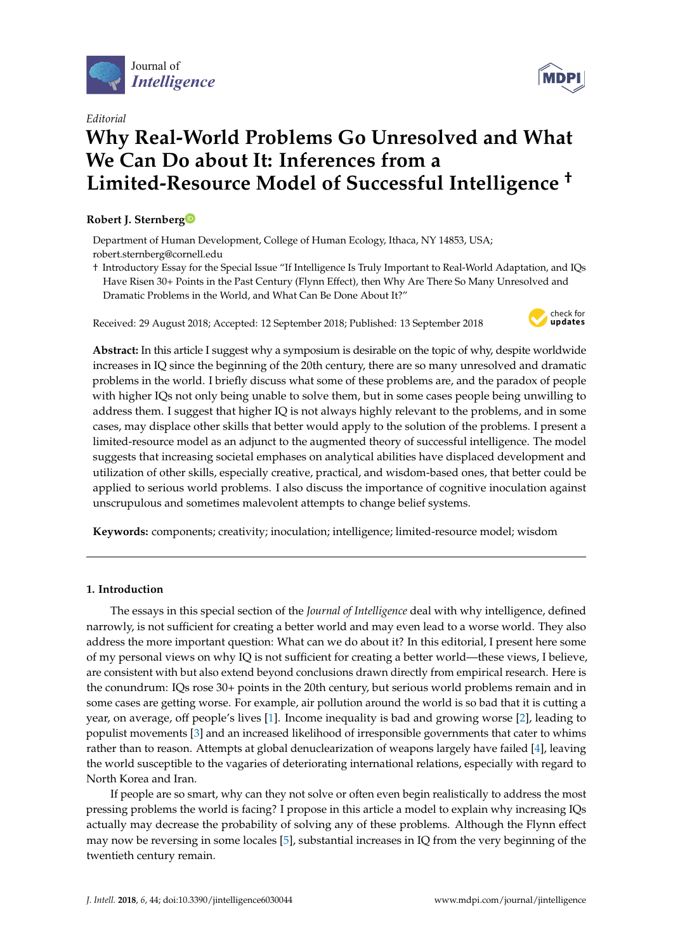

*Editorial*

# **Why Real-World Problems Go Unresolved and What We Can Do about It: Inferences from a Limited-Resource Model of Successful Intelligence †**

## **Robert J. Sternber[g](https://orcid.org/0000-0001-7191-5169)**

Department of Human Development, College of Human Ecology, Ithaca, NY 14853, USA; robert.sternberg@cornell.edu

† Introductory Essay for the Special Issue "If Intelligence Is Truly Important to Real-World Adaptation, and IQs Have Risen 30+ Points in the Past Century (Flynn Effect), then Why Are There So Many Unresolved and Dramatic Problems in the World, and What Can Be Done About It?"

Received: 29 August 2018; Accepted: 12 September 2018; Published: 13 September 2018



**Abstract:** In this article I suggest why a symposium is desirable on the topic of why, despite worldwide increases in IQ since the beginning of the 20th century, there are so many unresolved and dramatic problems in the world. I briefly discuss what some of these problems are, and the paradox of people with higher IQs not only being unable to solve them, but in some cases people being unwilling to address them. I suggest that higher IQ is not always highly relevant to the problems, and in some cases, may displace other skills that better would apply to the solution of the problems. I present a limited-resource model as an adjunct to the augmented theory of successful intelligence. The model suggests that increasing societal emphases on analytical abilities have displaced development and utilization of other skills, especially creative, practical, and wisdom-based ones, that better could be applied to serious world problems. I also discuss the importance of cognitive inoculation against unscrupulous and sometimes malevolent attempts to change belief systems.

**Keywords:** components; creativity; inoculation; intelligence; limited-resource model; wisdom

## **1. Introduction**

The essays in this special section of the *Journal of Intelligence* deal with why intelligence, defined narrowly, is not sufficient for creating a better world and may even lead to a worse world. They also address the more important question: What can we do about it? In this editorial, I present here some of my personal views on why IQ is not sufficient for creating a better world—these views, I believe, are consistent with but also extend beyond conclusions drawn directly from empirical research. Here is the conundrum: IQs rose 30+ points in the 20th century, but serious world problems remain and in some cases are getting worse. For example, air pollution around the world is so bad that it is cutting a year, on average, off people's lives [\[1\]](#page-6-0). Income inequality is bad and growing worse [\[2\]](#page-6-1), leading to populist movements [\[3\]](#page-6-2) and an increased likelihood of irresponsible governments that cater to whims rather than to reason. Attempts at global denuclearization of weapons largely have failed [\[4\]](#page-6-3), leaving the world susceptible to the vagaries of deteriorating international relations, especially with regard to North Korea and Iran.

If people are so smart, why can they not solve or often even begin realistically to address the most pressing problems the world is facing? I propose in this article a model to explain why increasing IQs actually may decrease the probability of solving any of these problems. Although the Flynn effect may now be reversing in some locales [\[5\]](#page-6-4), substantial increases in IQ from the very beginning of the twentieth century remain.

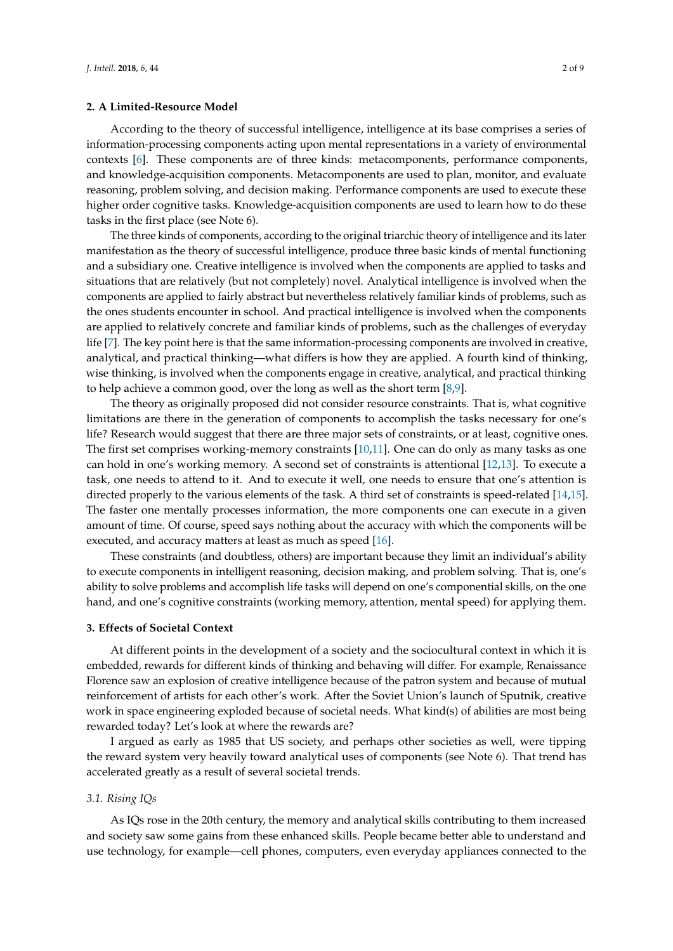## **2. A Limited-Resource Model**

According to the theory of successful intelligence, intelligence at its base comprises a series of information-processing components acting upon mental representations in a variety of environmental contexts [\[6\]](#page-6-5). These components are of three kinds: metacomponents, performance components, and knowledge-acquisition components. Metacomponents are used to plan, monitor, and evaluate reasoning, problem solving, and decision making. Performance components are used to execute these higher order cognitive tasks. Knowledge-acquisition components are used to learn how to do these tasks in the first place (see Note 6).

The three kinds of components, according to the original triarchic theory of intelligence and its later manifestation as the theory of successful intelligence, produce three basic kinds of mental functioning and a subsidiary one. Creative intelligence is involved when the components are applied to tasks and situations that are relatively (but not completely) novel. Analytical intelligence is involved when the components are applied to fairly abstract but nevertheless relatively familiar kinds of problems, such as the ones students encounter in school. And practical intelligence is involved when the components are applied to relatively concrete and familiar kinds of problems, such as the challenges of everyday life [\[7\]](#page-6-6). The key point here is that the same information-processing components are involved in creative, analytical, and practical thinking—what differs is how they are applied. A fourth kind of thinking, wise thinking, is involved when the components engage in creative, analytical, and practical thinking to help achieve a common good, over the long as well as the short term [\[8,](#page-6-7)[9\]](#page-6-8).

The theory as originally proposed did not consider resource constraints. That is, what cognitive limitations are there in the generation of components to accomplish the tasks necessary for one's life? Research would suggest that there are three major sets of constraints, or at least, cognitive ones. The first set comprises working-memory constraints [\[10](#page-6-9)[,11\]](#page-6-10). One can do only as many tasks as one can hold in one's working memory. A second set of constraints is attentional [\[12](#page-6-11)[,13\]](#page-6-12). To execute a task, one needs to attend to it. And to execute it well, one needs to ensure that one's attention is directed properly to the various elements of the task. A third set of constraints is speed-related [\[14](#page-7-0)[,15\]](#page-7-1). The faster one mentally processes information, the more components one can execute in a given amount of time. Of course, speed says nothing about the accuracy with which the components will be executed, and accuracy matters at least as much as speed [\[16\]](#page-7-2).

These constraints (and doubtless, others) are important because they limit an individual's ability to execute components in intelligent reasoning, decision making, and problem solving. That is, one's ability to solve problems and accomplish life tasks will depend on one's componential skills, on the one hand, and one's cognitive constraints (working memory, attention, mental speed) for applying them.

## **3. Effects of Societal Context**

At different points in the development of a society and the sociocultural context in which it is embedded, rewards for different kinds of thinking and behaving will differ. For example, Renaissance Florence saw an explosion of creative intelligence because of the patron system and because of mutual reinforcement of artists for each other's work. After the Soviet Union's launch of Sputnik, creative work in space engineering exploded because of societal needs. What kind(s) of abilities are most being rewarded today? Let's look at where the rewards are?

I argued as early as 1985 that US society, and perhaps other societies as well, were tipping the reward system very heavily toward analytical uses of components (see Note 6). That trend has accelerated greatly as a result of several societal trends.

#### *3.1. Rising IQs*

As IQs rose in the 20th century, the memory and analytical skills contributing to them increased and society saw some gains from these enhanced skills. People became better able to understand and use technology, for example—cell phones, computers, even everyday appliances connected to the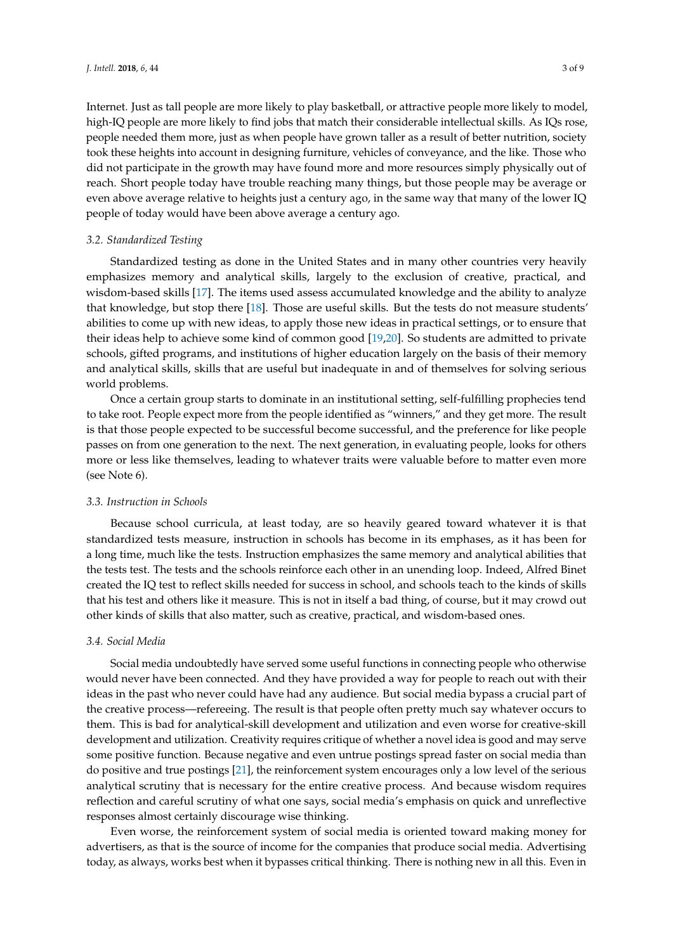Internet. Just as tall people are more likely to play basketball, or attractive people more likely to model, high-IQ people are more likely to find jobs that match their considerable intellectual skills. As IQs rose, people needed them more, just as when people have grown taller as a result of better nutrition, society took these heights into account in designing furniture, vehicles of conveyance, and the like. Those who did not participate in the growth may have found more and more resources simply physically out of reach. Short people today have trouble reaching many things, but those people may be average or even above average relative to heights just a century ago, in the same way that many of the lower IQ people of today would have been above average a century ago.

## *3.2. Standardized Testing*

Standardized testing as done in the United States and in many other countries very heavily emphasizes memory and analytical skills, largely to the exclusion of creative, practical, and wisdom-based skills [\[17\]](#page-7-3). The items used assess accumulated knowledge and the ability to analyze that knowledge, but stop there [\[18\]](#page-7-4). Those are useful skills. But the tests do not measure students' abilities to come up with new ideas, to apply those new ideas in practical settings, or to ensure that their ideas help to achieve some kind of common good [\[19](#page-7-5)[,20\]](#page-7-6). So students are admitted to private schools, gifted programs, and institutions of higher education largely on the basis of their memory and analytical skills, skills that are useful but inadequate in and of themselves for solving serious world problems.

Once a certain group starts to dominate in an institutional setting, self-fulfilling prophecies tend to take root. People expect more from the people identified as "winners," and they get more. The result is that those people expected to be successful become successful, and the preference for like people passes on from one generation to the next. The next generation, in evaluating people, looks for others more or less like themselves, leading to whatever traits were valuable before to matter even more (see Note 6).

## *3.3. Instruction in Schools*

Because school curricula, at least today, are so heavily geared toward whatever it is that standardized tests measure, instruction in schools has become in its emphases, as it has been for a long time, much like the tests. Instruction emphasizes the same memory and analytical abilities that the tests test. The tests and the schools reinforce each other in an unending loop. Indeed, Alfred Binet created the IQ test to reflect skills needed for success in school, and schools teach to the kinds of skills that his test and others like it measure. This is not in itself a bad thing, of course, but it may crowd out other kinds of skills that also matter, such as creative, practical, and wisdom-based ones.

## *3.4. Social Media*

Social media undoubtedly have served some useful functions in connecting people who otherwise would never have been connected. And they have provided a way for people to reach out with their ideas in the past who never could have had any audience. But social media bypass a crucial part of the creative process—refereeing. The result is that people often pretty much say whatever occurs to them. This is bad for analytical-skill development and utilization and even worse for creative-skill development and utilization. Creativity requires critique of whether a novel idea is good and may serve some positive function. Because negative and even untrue postings spread faster on social media than do positive and true postings [\[21\]](#page-7-7), the reinforcement system encourages only a low level of the serious analytical scrutiny that is necessary for the entire creative process. And because wisdom requires reflection and careful scrutiny of what one says, social media's emphasis on quick and unreflective responses almost certainly discourage wise thinking.

Even worse, the reinforcement system of social media is oriented toward making money for advertisers, as that is the source of income for the companies that produce social media. Advertising today, as always, works best when it bypasses critical thinking. There is nothing new in all this. Even in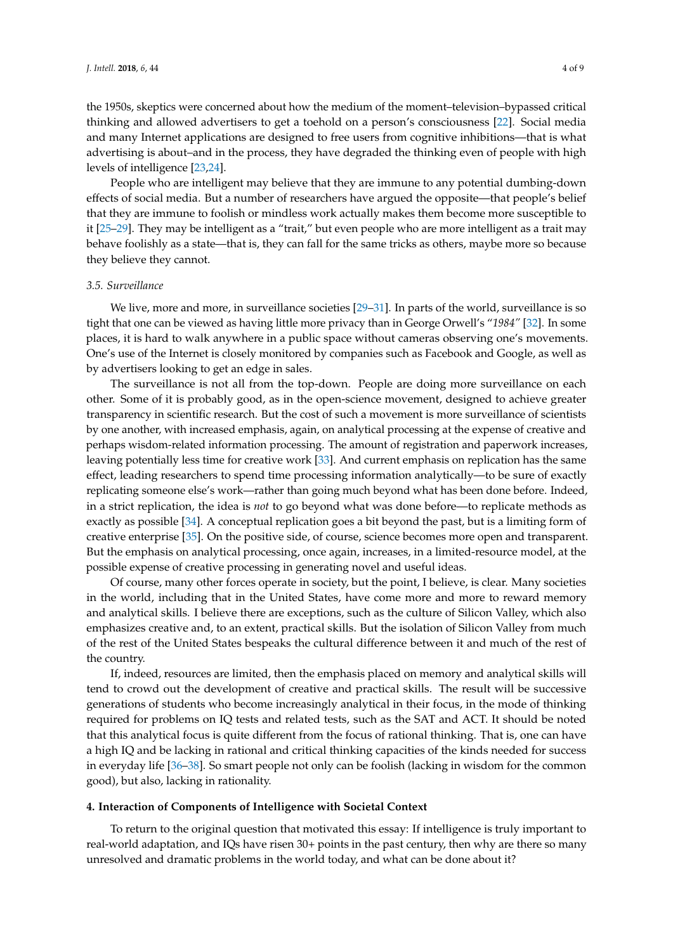the 1950s, skeptics were concerned about how the medium of the moment–television–bypassed critical thinking and allowed advertisers to get a toehold on a person's consciousness [\[22\]](#page-7-8). Social media and many Internet applications are designed to free users from cognitive inhibitions—that is what advertising is about–and in the process, they have degraded the thinking even of people with high levels of intelligence [\[23](#page-7-9)[,24\]](#page-7-10).

People who are intelligent may believe that they are immune to any potential dumbing-down effects of social media. But a number of researchers have argued the opposite—that people's belief that they are immune to foolish or mindless work actually makes them become more susceptible to it [\[25](#page-7-11)[–29\]](#page-7-12). They may be intelligent as a "trait," but even people who are more intelligent as a trait may behave foolishly as a state—that is, they can fall for the same tricks as others, maybe more so because they believe they cannot.

#### *3.5. Surveillance*

We live, more and more, in surveillance societies [\[29](#page-7-12)-31]. In parts of the world, surveillance is so tight that one can be viewed as having little more privacy than in George Orwell's "*1984"* [\[32\]](#page-7-14). In some places, it is hard to walk anywhere in a public space without cameras observing one's movements. One's use of the Internet is closely monitored by companies such as Facebook and Google, as well as by advertisers looking to get an edge in sales.

The surveillance is not all from the top-down. People are doing more surveillance on each other. Some of it is probably good, as in the open-science movement, designed to achieve greater transparency in scientific research. But the cost of such a movement is more surveillance of scientists by one another, with increased emphasis, again, on analytical processing at the expense of creative and perhaps wisdom-related information processing. The amount of registration and paperwork increases, leaving potentially less time for creative work [\[33\]](#page-7-15). And current emphasis on replication has the same effect, leading researchers to spend time processing information analytically—to be sure of exactly replicating someone else's work—rather than going much beyond what has been done before. Indeed, in a strict replication, the idea is *not* to go beyond what was done before—to replicate methods as exactly as possible [\[34\]](#page-7-16). A conceptual replication goes a bit beyond the past, but is a limiting form of creative enterprise [\[35\]](#page-7-17). On the positive side, of course, science becomes more open and transparent. But the emphasis on analytical processing, once again, increases, in a limited-resource model, at the possible expense of creative processing in generating novel and useful ideas.

Of course, many other forces operate in society, but the point, I believe, is clear. Many societies in the world, including that in the United States, have come more and more to reward memory and analytical skills. I believe there are exceptions, such as the culture of Silicon Valley, which also emphasizes creative and, to an extent, practical skills. But the isolation of Silicon Valley from much of the rest of the United States bespeaks the cultural difference between it and much of the rest of the country.

If, indeed, resources are limited, then the emphasis placed on memory and analytical skills will tend to crowd out the development of creative and practical skills. The result will be successive generations of students who become increasingly analytical in their focus, in the mode of thinking required for problems on IQ tests and related tests, such as the SAT and ACT. It should be noted that this analytical focus is quite different from the focus of rational thinking. That is, one can have a high IQ and be lacking in rational and critical thinking capacities of the kinds needed for success in everyday life [\[36](#page-7-18)[–38\]](#page-7-19). So smart people not only can be foolish (lacking in wisdom for the common good), but also, lacking in rationality.

## **4. Interaction of Components of Intelligence with Societal Context**

To return to the original question that motivated this essay: If intelligence is truly important to real-world adaptation, and IQs have risen 30+ points in the past century, then why are there so many unresolved and dramatic problems in the world today, and what can be done about it?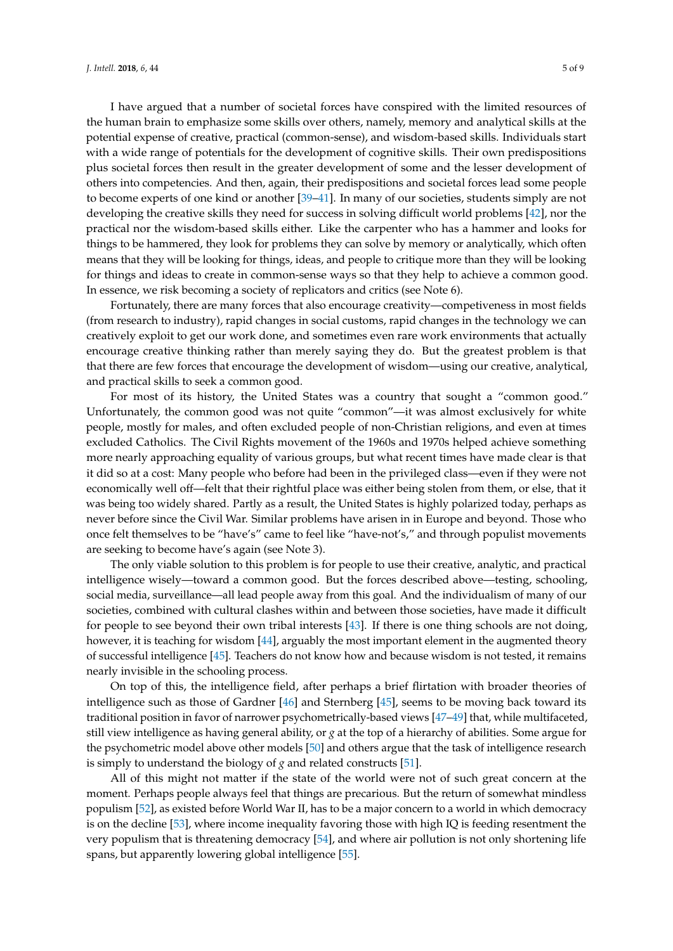I have argued that a number of societal forces have conspired with the limited resources of the human brain to emphasize some skills over others, namely, memory and analytical skills at the potential expense of creative, practical (common-sense), and wisdom-based skills. Individuals start with a wide range of potentials for the development of cognitive skills. Their own predispositions plus societal forces then result in the greater development of some and the lesser development of others into competencies. And then, again, their predispositions and societal forces lead some people to become experts of one kind or another [\[39–](#page-7-20)[41\]](#page-7-21). In many of our societies, students simply are not developing the creative skills they need for success in solving difficult world problems [\[42\]](#page-7-22), nor the practical nor the wisdom-based skills either. Like the carpenter who has a hammer and looks for things to be hammered, they look for problems they can solve by memory or analytically, which often means that they will be looking for things, ideas, and people to critique more than they will be looking for things and ideas to create in common-sense ways so that they help to achieve a common good. In essence, we risk becoming a society of replicators and critics (see Note 6).

Fortunately, there are many forces that also encourage creativity—competiveness in most fields (from research to industry), rapid changes in social customs, rapid changes in the technology we can creatively exploit to get our work done, and sometimes even rare work environments that actually encourage creative thinking rather than merely saying they do. But the greatest problem is that that there are few forces that encourage the development of wisdom—using our creative, analytical, and practical skills to seek a common good.

For most of its history, the United States was a country that sought a "common good." Unfortunately, the common good was not quite "common"—it was almost exclusively for white people, mostly for males, and often excluded people of non-Christian religions, and even at times excluded Catholics. The Civil Rights movement of the 1960s and 1970s helped achieve something more nearly approaching equality of various groups, but what recent times have made clear is that it did so at a cost: Many people who before had been in the privileged class—even if they were not economically well off—felt that their rightful place was either being stolen from them, or else, that it was being too widely shared. Partly as a result, the United States is highly polarized today, perhaps as never before since the Civil War. Similar problems have arisen in in Europe and beyond. Those who once felt themselves to be "have's" came to feel like "have-not's," and through populist movements are seeking to become have's again (see Note 3).

The only viable solution to this problem is for people to use their creative, analytic, and practical intelligence wisely—toward a common good. But the forces described above—testing, schooling, social media, surveillance—all lead people away from this goal. And the individualism of many of our societies, combined with cultural clashes within and between those societies, have made it difficult for people to see beyond their own tribal interests [\[43\]](#page-7-23). If there is one thing schools are not doing, however, it is teaching for wisdom [\[44\]](#page-7-24), arguably the most important element in the augmented theory of successful intelligence [\[45\]](#page-8-0). Teachers do not know how and because wisdom is not tested, it remains nearly invisible in the schooling process.

On top of this, the intelligence field, after perhaps a brief flirtation with broader theories of intelligence such as those of Gardner [\[46\]](#page-8-1) and Sternberg [\[45\]](#page-8-0), seems to be moving back toward its traditional position in favor of narrower psychometrically-based views [\[47](#page-8-2)[–49\]](#page-8-3) that, while multifaceted, still view intelligence as having general ability, or *g* at the top of a hierarchy of abilities. Some argue for the psychometric model above other models [\[50\]](#page-8-4) and others argue that the task of intelligence research is simply to understand the biology of *g* and related constructs [\[51\]](#page-8-5).

All of this might not matter if the state of the world were not of such great concern at the moment. Perhaps people always feel that things are precarious. But the return of somewhat mindless populism [\[52\]](#page-8-6), as existed before World War II, has to be a major concern to a world in which democracy is on the decline [\[53\]](#page-8-7), where income inequality favoring those with high IQ is feeding resentment the very populism that is threatening democracy [\[54\]](#page-8-8), and where air pollution is not only shortening life spans, but apparently lowering global intelligence [\[55\]](#page-8-9).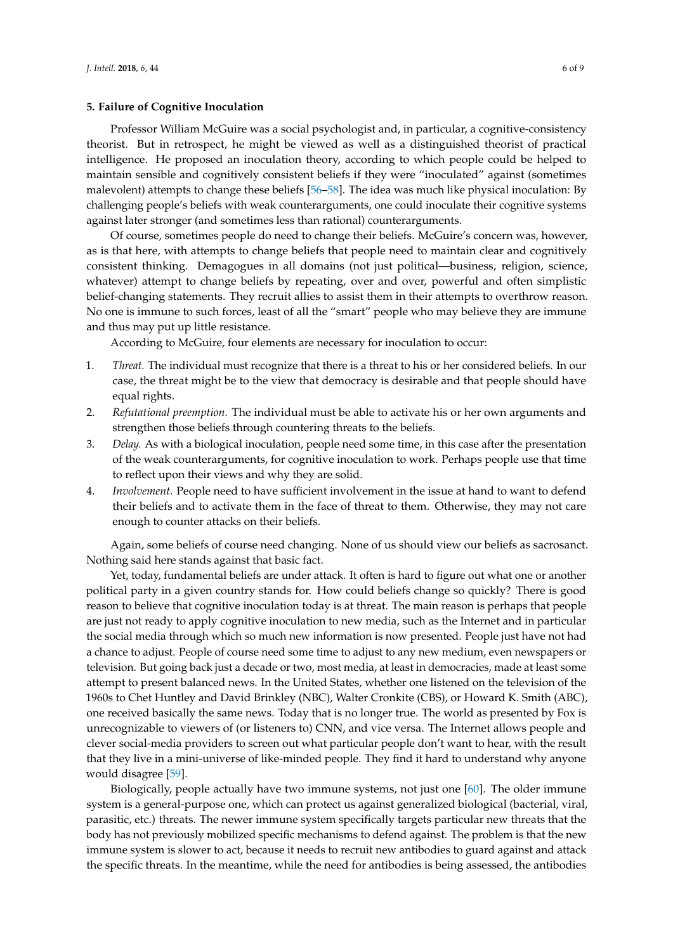## **5. Failure of Cognitive Inoculation**

Professor William McGuire was a social psychologist and, in particular, a cognitive-consistency theorist. But in retrospect, he might be viewed as well as a distinguished theorist of practical intelligence. He proposed an inoculation theory, according to which people could be helped to maintain sensible and cognitively consistent beliefs if they were "inoculated" against (sometimes malevolent) attempts to change these beliefs [\[56–](#page-8-10)[58\]](#page-8-11). The idea was much like physical inoculation: By challenging people's beliefs with weak counterarguments, one could inoculate their cognitive systems against later stronger (and sometimes less than rational) counterarguments.

Of course, sometimes people do need to change their beliefs. McGuire's concern was, however, as is that here, with attempts to change beliefs that people need to maintain clear and cognitively consistent thinking. Demagogues in all domains (not just political—business, religion, science, whatever) attempt to change beliefs by repeating, over and over, powerful and often simplistic belief-changing statements. They recruit allies to assist them in their attempts to overthrow reason. No one is immune to such forces, least of all the "smart" people who may believe they are immune and thus may put up little resistance.

According to McGuire, four elements are necessary for inoculation to occur:

- 1. *Threat.* The individual must recognize that there is a threat to his or her considered beliefs. In our case, the threat might be to the view that democracy is desirable and that people should have equal rights.
- 2. *Refutational preemption.* The individual must be able to activate his or her own arguments and strengthen those beliefs through countering threats to the beliefs.
- 3. *Delay.* As with a biological inoculation, people need some time, in this case after the presentation of the weak counterarguments, for cognitive inoculation to work. Perhaps people use that time to reflect upon their views and why they are solid.
- 4. *Involvement.* People need to have sufficient involvement in the issue at hand to want to defend their beliefs and to activate them in the face of threat to them. Otherwise, they may not care enough to counter attacks on their beliefs.

Again, some beliefs of course need changing. None of us should view our beliefs as sacrosanct. Nothing said here stands against that basic fact.

Yet, today, fundamental beliefs are under attack. It often is hard to figure out what one or another political party in a given country stands for. How could beliefs change so quickly? There is good reason to believe that cognitive inoculation today is at threat. The main reason is perhaps that people are just not ready to apply cognitive inoculation to new media, such as the Internet and in particular the social media through which so much new information is now presented. People just have not had a chance to adjust. People of course need some time to adjust to any new medium, even newspapers or television. But going back just a decade or two, most media, at least in democracies, made at least some attempt to present balanced news. In the United States, whether one listened on the television of the 1960s to Chet Huntley and David Brinkley (NBC), Walter Cronkite (CBS), or Howard K. Smith (ABC), one received basically the same news. Today that is no longer true. The world as presented by Fox is unrecognizable to viewers of (or listeners to) CNN, and vice versa. The Internet allows people and clever social-media providers to screen out what particular people don't want to hear, with the result that they live in a mini-universe of like-minded people. They find it hard to understand why anyone would disagree [\[59\]](#page-8-12).

Biologically, people actually have two immune systems, not just one [\[60\]](#page-8-13). The older immune system is a general-purpose one, which can protect us against generalized biological (bacterial, viral, parasitic, etc.) threats. The newer immune system specifically targets particular new threats that the body has not previously mobilized specific mechanisms to defend against. The problem is that the new immune system is slower to act, because it needs to recruit new antibodies to guard against and attack the specific threats. In the meantime, while the need for antibodies is being assessed, the antibodies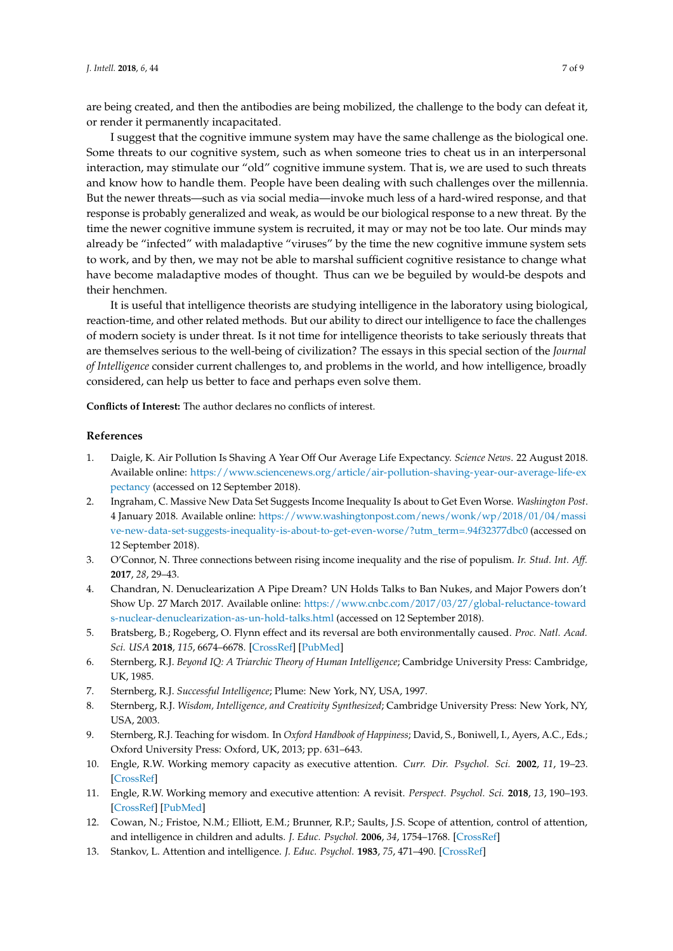are being created, and then the antibodies are being mobilized, the challenge to the body can defeat it, or render it permanently incapacitated.

I suggest that the cognitive immune system may have the same challenge as the biological one. Some threats to our cognitive system, such as when someone tries to cheat us in an interpersonal interaction, may stimulate our "old" cognitive immune system. That is, we are used to such threats and know how to handle them. People have been dealing with such challenges over the millennia. But the newer threats—such as via social media—invoke much less of a hard-wired response, and that response is probably generalized and weak, as would be our biological response to a new threat. By the time the newer cognitive immune system is recruited, it may or may not be too late. Our minds may already be "infected" with maladaptive "viruses" by the time the new cognitive immune system sets to work, and by then, we may not be able to marshal sufficient cognitive resistance to change what have become maladaptive modes of thought. Thus can we be beguiled by would-be despots and their henchmen.

It is useful that intelligence theorists are studying intelligence in the laboratory using biological, reaction-time, and other related methods. But our ability to direct our intelligence to face the challenges of modern society is under threat. Is it not time for intelligence theorists to take seriously threats that are themselves serious to the well-being of civilization? The essays in this special section of the *Journal of Intelligence* consider current challenges to, and problems in the world, and how intelligence, broadly considered, can help us better to face and perhaps even solve them.

**Conflicts of Interest:** The author declares no conflicts of interest.

#### **References**

- <span id="page-6-0"></span>1. Daigle, K. Air Pollution Is Shaving A Year Off Our Average Life Expectancy. *Science News*. 22 August 2018. Available online: [https://www.sciencenews.org/article/air-pollution-shaving-year-our-average-life-ex](https://www.sciencenews.org/article/air-pollution-shaving-year-our-average-life-expectancy) [pectancy](https://www.sciencenews.org/article/air-pollution-shaving-year-our-average-life-expectancy) (accessed on 12 September 2018).
- <span id="page-6-1"></span>2. Ingraham, C. Massive New Data Set Suggests Income Inequality Is about to Get Even Worse. *Washington Post*. 4 January 2018. Available online: [https://www.washingtonpost.com/news/wonk/wp/2018/01/04/massi](https://www.washingtonpost.com/news/wonk/wp/2018/01/04/massive-new-data-set-suggests-inequality-is-about-to-get-even-worse/?utm_term=.94f32377dbc0) [ve-new-data-set-suggests-inequality-is-about-to-get-even-worse/?utm\\_term=.94f32377dbc0](https://www.washingtonpost.com/news/wonk/wp/2018/01/04/massive-new-data-set-suggests-inequality-is-about-to-get-even-worse/?utm_term=.94f32377dbc0) (accessed on 12 September 2018).
- <span id="page-6-2"></span>3. O'Connor, N. Three connections between rising income inequality and the rise of populism. *Ir. Stud. Int. Aff.* **2017**, *28*, 29–43.
- <span id="page-6-3"></span>4. Chandran, N. Denuclearization A Pipe Dream? UN Holds Talks to Ban Nukes, and Major Powers don't Show Up. 27 March 2017. Available online: [https://www.cnbc.com/2017/03/27/global-reluctance-toward](https://www.cnbc.com/2017/03/27/global-reluctance-towards-nuclear-denuclearization-as-un-hold-talks.html) [s-nuclear-denuclearization-as-un-hold-talks.html](https://www.cnbc.com/2017/03/27/global-reluctance-towards-nuclear-denuclearization-as-un-hold-talks.html) (accessed on 12 September 2018).
- <span id="page-6-4"></span>5. Bratsberg, B.; Rogeberg, O. Flynn effect and its reversal are both environmentally caused. *Proc. Natl. Acad. Sci. USA* **2018**, *115*, 6674–6678. [\[CrossRef\]](http://dx.doi.org/10.1073/pnas.1718793115) [\[PubMed\]](http://www.ncbi.nlm.nih.gov/pubmed/29891660)
- <span id="page-6-5"></span>6. Sternberg, R.J. *Beyond IQ: A Triarchic Theory of Human Intelligence*; Cambridge University Press: Cambridge, UK, 1985.
- <span id="page-6-6"></span>7. Sternberg, R.J. *Successful Intelligence*; Plume: New York, NY, USA, 1997.
- <span id="page-6-7"></span>8. Sternberg, R.J. *Wisdom, Intelligence, and Creativity Synthesized*; Cambridge University Press: New York, NY, USA, 2003.
- <span id="page-6-8"></span>9. Sternberg, R.J. Teaching for wisdom. In *Oxford Handbook of Happiness*; David, S., Boniwell, I., Ayers, A.C., Eds.; Oxford University Press: Oxford, UK, 2013; pp. 631–643.
- <span id="page-6-9"></span>10. Engle, R.W. Working memory capacity as executive attention. *Curr. Dir. Psychol. Sci.* **2002**, *11*, 19–23. [\[CrossRef\]](http://dx.doi.org/10.1111/1467-8721.00160)
- <span id="page-6-10"></span>11. Engle, R.W. Working memory and executive attention: A revisit. *Perspect. Psychol. Sci.* **2018**, *13*, 190–193. [\[CrossRef\]](http://dx.doi.org/10.1177/1745691617720478) [\[PubMed\]](http://www.ncbi.nlm.nih.gov/pubmed/29592654)
- <span id="page-6-11"></span>12. Cowan, N.; Fristoe, N.M.; Elliott, E.M.; Brunner, R.P.; Saults, J.S. Scope of attention, control of attention, and intelligence in children and adults. *J. Educ. Psychol.* **2006**, *34*, 1754–1768. [\[CrossRef\]](http://dx.doi.org/10.3758/BF03195936)
- <span id="page-6-12"></span>13. Stankov, L. Attention and intelligence. *J. Educ. Psychol.* **1983**, *75*, 471–490. [\[CrossRef\]](http://dx.doi.org/10.1037/0022-0663.75.4.471)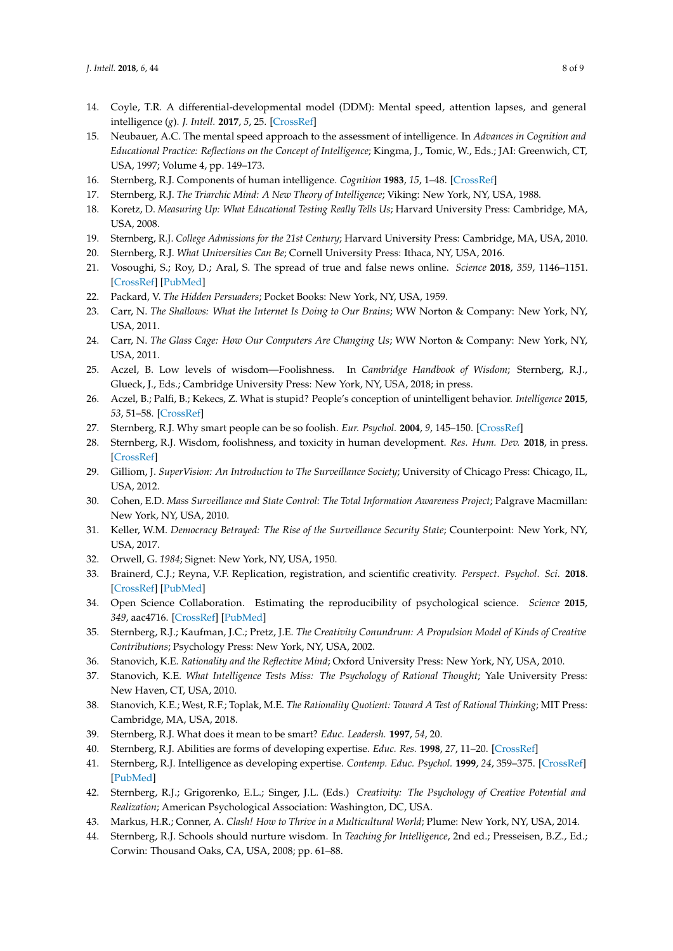- <span id="page-7-0"></span>14. Coyle, T.R. A differential-developmental model (DDM): Mental speed, attention lapses, and general intelligence (*g*). *J. Intell.* **2017**, *5*, 25. [\[CrossRef\]](http://dx.doi.org/10.3390/jintelligence5020025)
- <span id="page-7-1"></span>15. Neubauer, A.C. The mental speed approach to the assessment of intelligence. In *Advances in Cognition and Educational Practice: Reflections on the Concept of Intelligence*; Kingma, J., Tomic, W., Eds.; JAI: Greenwich, CT, USA, 1997; Volume 4, pp. 149–173.
- <span id="page-7-2"></span>16. Sternberg, R.J. Components of human intelligence. *Cognition* **1983**, *15*, 1–48. [\[CrossRef\]](http://dx.doi.org/10.1016/0010-0277(83)90032-X)
- <span id="page-7-3"></span>17. Sternberg, R.J. *The Triarchic Mind: A New Theory of Intelligence*; Viking: New York, NY, USA, 1988.
- <span id="page-7-4"></span>18. Koretz, D. *Measuring Up: What Educational Testing Really Tells Us*; Harvard University Press: Cambridge, MA, USA, 2008.
- <span id="page-7-5"></span>19. Sternberg, R.J. *College Admissions for the 21st Century*; Harvard University Press: Cambridge, MA, USA, 2010.
- <span id="page-7-6"></span>20. Sternberg, R.J. *What Universities Can Be*; Cornell University Press: Ithaca, NY, USA, 2016.
- <span id="page-7-7"></span>21. Vosoughi, S.; Roy, D.; Aral, S. The spread of true and false news online. *Science* **2018**, *359*, 1146–1151. [\[CrossRef\]](http://dx.doi.org/10.1126/science.aap9559) [\[PubMed\]](http://www.ncbi.nlm.nih.gov/pubmed/29590045)
- <span id="page-7-8"></span>22. Packard, V. *The Hidden Persuaders*; Pocket Books: New York, NY, USA, 1959.
- <span id="page-7-9"></span>23. Carr, N. *The Shallows: What the Internet Is Doing to Our Brains*; WW Norton & Company: New York, NY, USA, 2011.
- <span id="page-7-10"></span>24. Carr, N. *The Glass Cage: How Our Computers Are Changing Us*; WW Norton & Company: New York, NY, USA, 2011.
- <span id="page-7-11"></span>25. Aczel, B. Low levels of wisdom—Foolishness. In *Cambridge Handbook of Wisdom*; Sternberg, R.J., Glueck, J., Eds.; Cambridge University Press: New York, NY, USA, 2018; in press.
- 26. Aczel, B.; Palfi, B.; Kekecs, Z. What is stupid? People's conception of unintelligent behavior. *Intelligence* **2015**, *53*, 51–58. [\[CrossRef\]](http://dx.doi.org/10.1016/j.intell.2015.08.010)
- 27. Sternberg, R.J. Why smart people can be so foolish. *Eur. Psychol.* **2004**, *9*, 145–150. [\[CrossRef\]](http://dx.doi.org/10.1027/1016-9040.9.3.145)
- 28. Sternberg, R.J. Wisdom, foolishness, and toxicity in human development. *Res. Hum. Dev.* **2018**, in press. [\[CrossRef\]](http://dx.doi.org/10.1080/15427609.2018.1491216)
- <span id="page-7-12"></span>29. Gilliom, J. *SuperVision: An Introduction to The Surveillance Society*; University of Chicago Press: Chicago, IL, USA, 2012.
- 30. Cohen, E.D. *Mass Surveillance and State Control: The Total Information Awareness Project*; Palgrave Macmillan: New York, NY, USA, 2010.
- <span id="page-7-13"></span>31. Keller, W.M. *Democracy Betrayed: The Rise of the Surveillance Security State*; Counterpoint: New York, NY, USA, 2017.
- <span id="page-7-14"></span>32. Orwell, G. *1984*; Signet: New York, NY, USA, 1950.
- <span id="page-7-15"></span>33. Brainerd, C.J.; Reyna, V.F. Replication, registration, and scientific creativity. *Perspect. Psychol. Sci.* **2018**. [\[CrossRef\]](http://dx.doi.org/10.1177/1745691617739421) [\[PubMed\]](http://www.ncbi.nlm.nih.gov/pubmed/29961417)
- <span id="page-7-16"></span>34. Open Science Collaboration. Estimating the reproducibility of psychological science. *Science* **2015**, *349*, aac4716. [\[CrossRef\]](http://dx.doi.org/10.1126/science.aac4716) [\[PubMed\]](http://www.ncbi.nlm.nih.gov/pubmed/26315443)
- <span id="page-7-17"></span>35. Sternberg, R.J.; Kaufman, J.C.; Pretz, J.E. *The Creativity Conundrum: A Propulsion Model of Kinds of Creative Contributions*; Psychology Press: New York, NY, USA, 2002.
- <span id="page-7-18"></span>36. Stanovich, K.E. *Rationality and the Reflective Mind*; Oxford University Press: New York, NY, USA, 2010.
- 37. Stanovich, K.E. *What Intelligence Tests Miss: The Psychology of Rational Thought*; Yale University Press: New Haven, CT, USA, 2010.
- <span id="page-7-19"></span>38. Stanovich, K.E.; West, R.F.; Toplak, M.E. *The Rationality Quotient: Toward A Test of Rational Thinking*; MIT Press: Cambridge, MA, USA, 2018.
- <span id="page-7-20"></span>39. Sternberg, R.J. What does it mean to be smart? *Educ. Leadersh.* **1997**, *54*, 20.
- 40. Sternberg, R.J. Abilities are forms of developing expertise. *Educ. Res.* **1998**, *27*, 11–20. [\[CrossRef\]](http://dx.doi.org/10.3102/0013189X027003011)
- <span id="page-7-21"></span>41. Sternberg, R.J. Intelligence as developing expertise. *Contemp. Educ. Psychol.* **1999**, *24*, 359–375. [\[CrossRef\]](http://dx.doi.org/10.1006/ceps.1998.0998) [\[PubMed\]](http://www.ncbi.nlm.nih.gov/pubmed/10508532)
- <span id="page-7-22"></span>42. Sternberg, R.J.; Grigorenko, E.L.; Singer, J.L. (Eds.) *Creativity: The Psychology of Creative Potential and Realization*; American Psychological Association: Washington, DC, USA.
- <span id="page-7-23"></span>43. Markus, H.R.; Conner, A. *Clash! How to Thrive in a Multicultural World*; Plume: New York, NY, USA, 2014.
- <span id="page-7-24"></span>44. Sternberg, R.J. Schools should nurture wisdom. In *Teaching for Intelligence*, 2nd ed.; Presseisen, B.Z., Ed.; Corwin: Thousand Oaks, CA, USA, 2008; pp. 61–88.